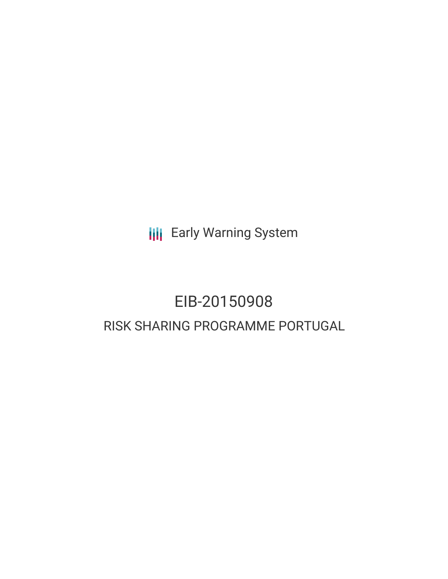**III** Early Warning System

# EIB-20150908 RISK SHARING PROGRAMME PORTUGAL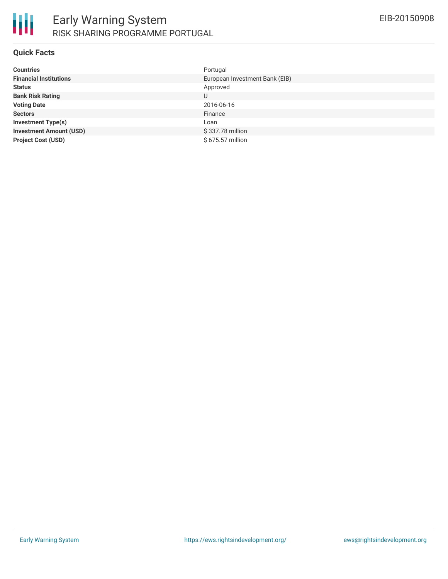

## **Quick Facts**

| <b>Countries</b>               | Portugal                       |
|--------------------------------|--------------------------------|
| <b>Financial Institutions</b>  | European Investment Bank (EIB) |
| <b>Status</b>                  | Approved                       |
| <b>Bank Risk Rating</b>        | U                              |
| <b>Voting Date</b>             | 2016-06-16                     |
| <b>Sectors</b>                 | Finance                        |
| <b>Investment Type(s)</b>      | Loan                           |
| <b>Investment Amount (USD)</b> | \$337.78 million               |
| <b>Project Cost (USD)</b>      | \$675.57 million               |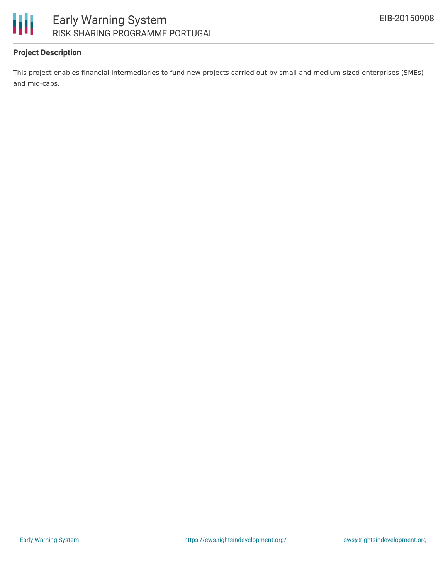

## **Project Description**

This project enables financial intermediaries to fund new projects carried out by small and medium-sized enterprises (SMEs) and mid-caps.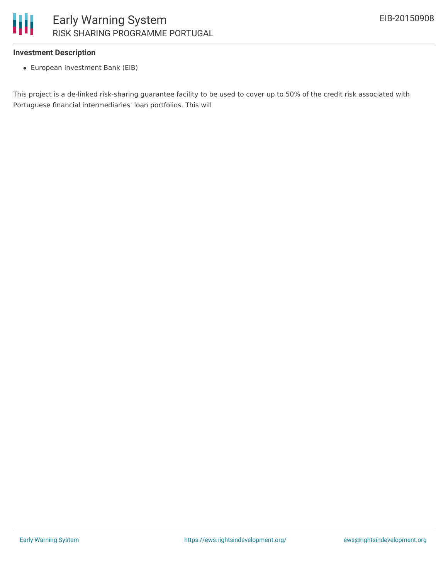

### **Investment Description**

European Investment Bank (EIB)

This project is a de-linked risk-sharing guarantee facility to be used to cover up to 50% of the credit risk associated with Portuguese financial intermediaries' loan portfolios. This will